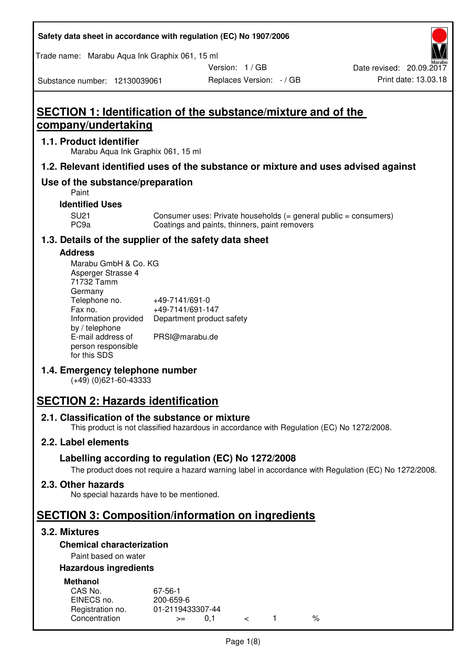| Safety data sheet in accordance with regulation (EC) No 1907/2006 |  |
|-------------------------------------------------------------------|--|
|-------------------------------------------------------------------|--|

Trade name: Marabu Aqua Ink Graphix 061, 15 ml

Version: 1 / GB

Substance number: 12130039061

# **SECTION 1: Identification of the substance/mixture and of the company/undertaking**

#### **1.1. Product identifier**

Marabu Aqua Ink Graphix 061, 15 ml

# **1.2. Relevant identified uses of the substance or mixture and uses advised against**

# **Use of the substance/preparation**

Paint

#### **Identified Uses**

SU21 Consumer uses: Private households (= general public = consumers)<br>PC9a Coatings and paints, thinners, paint removers Coatings and paints, thinners, paint removers

# **1.3. Details of the supplier of the safety data sheet**

#### **Address**

| Marabu GmbH & Co. KG |                           |
|----------------------|---------------------------|
| Asperger Strasse 4   |                           |
| 71732 Tamm           |                           |
| Germany              |                           |
| Telephone no.        | +49-7141/691-0            |
| Fax no.              | +49-7141/691-147          |
| Information provided | Department product safety |
| by / telephone       |                           |
| E-mail address of    | PRSI@marabu.de            |
| person responsible   |                           |
| for this SDS         |                           |

# **1.4. Emergency telephone number**

(+49) (0)621-60-43333

# **SECTION 2: Hazards identification**

#### **2.1. Classification of the substance or mixture**

This product is not classified hazardous in accordance with Regulation (EC) No 1272/2008.

# **2.2. Label elements**

# **Labelling according to regulation (EC) No 1272/2008**

The product does not require a hazard warning label in accordance with Regulation (EC) No 1272/2008.

# **2.3. Other hazards**

No special hazards have to be mentioned.

# **SECTION 3: Composition/information on ingredients**

# **3.2. Mixtures**

# **Chemical characterization**

# Paint based on water

#### **Hazardous ingredients**

| <b>Methanol</b>  |                  |  |   |
|------------------|------------------|--|---|
| CAS No.          | 67-56-1          |  |   |
| EINECS no.       | 200-659-6        |  |   |
| Registration no. | 01-2119433307-44 |  |   |
| Concentration    | O 1<br>$>=$      |  | % |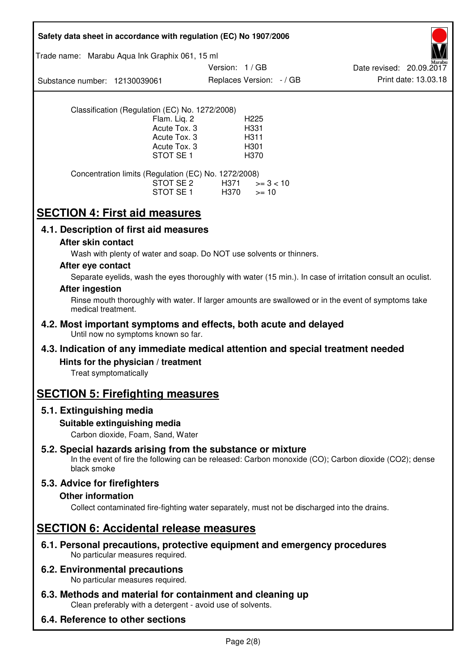| Safety data sheet in accordance with regulation (EC) No 1907/2006                                                                                                                          |
|--------------------------------------------------------------------------------------------------------------------------------------------------------------------------------------------|
| Trade name: Marabu Aqua Ink Graphix 061, 15 ml                                                                                                                                             |
| Version: 1/GB<br>Date revised: 20.09.2017<br>Print date: 13.03.18<br>Replaces Version: - / GB<br>Substance number: 12130039061                                                             |
| Classification (Regulation (EC) No. 1272/2008)<br>Flam. Liq. 2<br>H <sub>225</sub><br>Acute Tox. 3<br>H331<br>Acute Tox. 3<br>H311<br>Acute Tox. 3<br>H301<br>STOT SE <sub>1</sub><br>H370 |
| Concentration limits (Regulation (EC) No. 1272/2008)<br>STOT SE 2<br>H371<br>$>= 3 < 10$<br>STOT SE 1<br>H370<br>$>= 10$                                                                   |
| <b>SECTION 4: First aid measures</b>                                                                                                                                                       |
| 4.1. Description of first aid measures                                                                                                                                                     |
| After skin contact<br>Wash with plenty of water and soap. Do NOT use solvents or thinners.                                                                                                 |
| After eye contact                                                                                                                                                                          |
| Separate eyelids, wash the eyes thoroughly with water (15 min.). In case of irritation consult an oculist.                                                                                 |
| <b>After ingestion</b><br>Rinse mouth thoroughly with water. If larger amounts are swallowed or in the event of symptoms take                                                              |
| medical treatment.                                                                                                                                                                         |
| 4.2. Most important symptoms and effects, both acute and delayed<br>Until now no symptoms known so far.                                                                                    |
| 4.3. Indication of any immediate medical attention and special treatment needed                                                                                                            |
| Hints for the physician / treatment<br>Treat symptomatically                                                                                                                               |
| <b>SECTION 5: Firefighting measures</b>                                                                                                                                                    |
| 5.1. Extinguishing media                                                                                                                                                                   |
| Suitable extinguishing media<br>Carbon dioxide, Foam, Sand, Water                                                                                                                          |
| 5.2. Special hazards arising from the substance or mixture<br>In the event of fire the following can be released: Carbon monoxide (CO); Carbon dioxide (CO2); dense<br>black smoke         |
| 5.3. Advice for firefighters                                                                                                                                                               |
| <b>Other information</b><br>Collect contaminated fire-fighting water separately, must not be discharged into the drains.                                                                   |
| <b>SECTION 6: Accidental release measures</b>                                                                                                                                              |
| 6.1. Personal precautions, protective equipment and emergency procedures<br>No particular measures required.                                                                               |
| <b>6.2. Environmental precautions</b><br>No particular measures required.                                                                                                                  |
| 6.3. Methods and material for containment and cleaning up<br>Clean preferably with a detergent - avoid use of solvents.                                                                    |
| 6.4. Reference to other sections                                                                                                                                                           |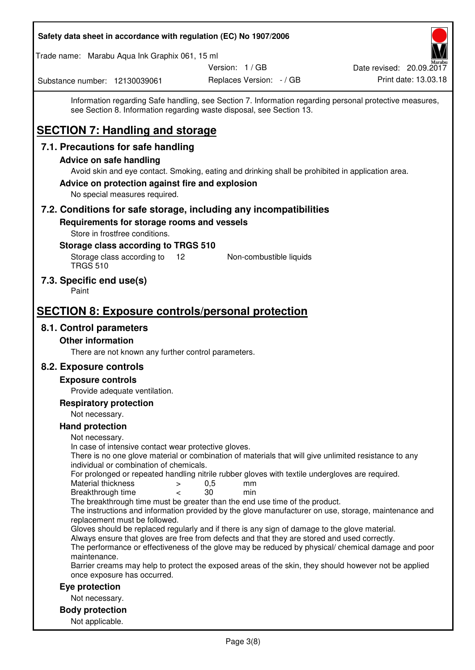| Safety data sheet in accordance with regulation (EC) No 1907/2006                                                                                                                                             |                          |                                                                                                         |
|---------------------------------------------------------------------------------------------------------------------------------------------------------------------------------------------------------------|--------------------------|---------------------------------------------------------------------------------------------------------|
| Trade name: Marabu Aqua Ink Graphix 061, 15 ml                                                                                                                                                                |                          |                                                                                                         |
|                                                                                                                                                                                                               | Version: 1 / GB          | Date revised: 20.09.2017                                                                                |
| Substance number: 12130039061                                                                                                                                                                                 | Replaces Version: - / GB | Print date: 13.03.18                                                                                    |
| see Section 8. Information regarding waste disposal, see Section 13.<br><b>SECTION 7: Handling and storage</b>                                                                                                |                          | Information regarding Safe handling, see Section 7. Information regarding personal protective measures, |
| 7.1. Precautions for safe handling                                                                                                                                                                            |                          |                                                                                                         |
| <b>Advice on safe handling</b>                                                                                                                                                                                |                          |                                                                                                         |
| Avoid skin and eye contact. Smoking, eating and drinking shall be prohibited in application area.<br>Advice on protection against fire and explosion<br>No special measures required.                         |                          |                                                                                                         |
| 7.2. Conditions for safe storage, including any incompatibilities                                                                                                                                             |                          |                                                                                                         |
| Requirements for storage rooms and vessels<br>Store in frostfree conditions.<br>Storage class according to TRGS 510<br>Storage class according to<br>12                                                       | Non-combustible liquids  |                                                                                                         |
| <b>TRGS 510</b>                                                                                                                                                                                               |                          |                                                                                                         |
| 7.3. Specific end use(s)<br>Paint                                                                                                                                                                             |                          |                                                                                                         |
| <b>SECTION 8: Exposure controls/personal protection</b>                                                                                                                                                       |                          |                                                                                                         |
| 8.1. Control parameters                                                                                                                                                                                       |                          |                                                                                                         |
| <b>Other information</b>                                                                                                                                                                                      |                          |                                                                                                         |
| There are not known any further control parameters.                                                                                                                                                           |                          |                                                                                                         |
| 8.2. Exposure controls                                                                                                                                                                                        |                          |                                                                                                         |
| <b>Exposure controls</b>                                                                                                                                                                                      |                          |                                                                                                         |
| Provide adequate ventilation.                                                                                                                                                                                 |                          |                                                                                                         |
| <b>Respiratory protection</b>                                                                                                                                                                                 |                          |                                                                                                         |
| Not necessary.<br><b>Hand protection</b>                                                                                                                                                                      |                          |                                                                                                         |
| Not necessary.                                                                                                                                                                                                |                          |                                                                                                         |
| In case of intensive contact wear protective gloves.<br>There is no one glove material or combination of materials that will give unlimited resistance to any<br>individual or combination of chemicals.      |                          |                                                                                                         |
| For prolonged or repeated handling nitrile rubber gloves with textile undergloves are required.<br>Material thickness<br>$\,>$<br>Breakthrough time<br>$\,<\,$                                                | 0,5<br>mm<br>30<br>min   |                                                                                                         |
| The breakthrough time must be greater than the end use time of the product.<br>replacement must be followed.                                                                                                  |                          | The instructions and information provided by the glove manufacturer on use, storage, maintenance and    |
| Gloves should be replaced regularly and if there is any sign of damage to the glove material.<br>Always ensure that gloves are free from defects and that they are stored and used correctly.<br>maintenance. |                          | The performance or effectiveness of the glove may be reduced by physical/ chemical damage and poor      |
| once exposure has occurred.                                                                                                                                                                                   |                          | Barrier creams may help to protect the exposed areas of the skin, they should however not be applied    |
| Eye protection                                                                                                                                                                                                |                          |                                                                                                         |
| Not necessary.                                                                                                                                                                                                |                          |                                                                                                         |
| <b>Body protection</b><br>Not applicable.                                                                                                                                                                     |                          |                                                                                                         |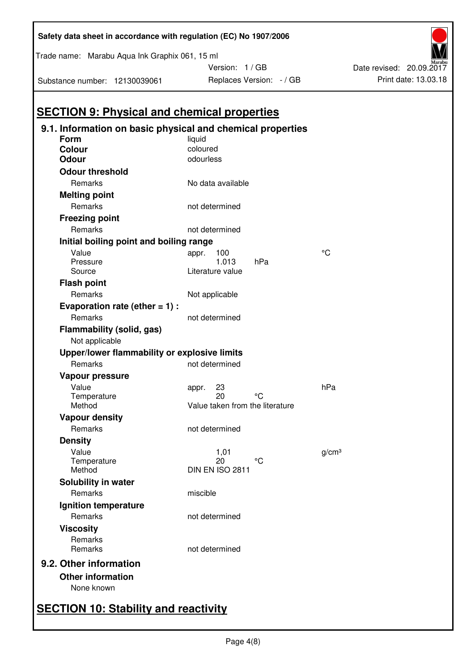| Substance number: 12130039061                      | Replaces Version: -/ GB                                              |                   |
|----------------------------------------------------|----------------------------------------------------------------------|-------------------|
|                                                    |                                                                      |                   |
| <b>SECTION 9: Physical and chemical properties</b> |                                                                      |                   |
| Form                                               | 9.1. Information on basic physical and chemical properties<br>liquid |                   |
| <b>Colour</b>                                      | coloured                                                             |                   |
| <b>Odour</b>                                       | odourless                                                            |                   |
| <b>Odour threshold</b>                             |                                                                      |                   |
| Remarks                                            | No data available                                                    |                   |
| <b>Melting point</b>                               |                                                                      |                   |
| Remarks                                            | not determined                                                       |                   |
| <b>Freezing point</b>                              |                                                                      |                   |
| Remarks                                            | not determined                                                       |                   |
| Initial boiling point and boiling range            |                                                                      |                   |
| Value                                              | 100<br>appr.                                                         | °C                |
| Pressure                                           | 1.013<br>hPa                                                         |                   |
| Source                                             | Literature value                                                     |                   |
| <b>Flash point</b>                                 |                                                                      |                   |
| Remarks                                            | Not applicable                                                       |                   |
| Evaporation rate (ether $= 1$ ) :                  |                                                                      |                   |
| Remarks                                            | not determined                                                       |                   |
| Flammability (solid, gas)                          |                                                                      |                   |
| Not applicable                                     |                                                                      |                   |
| Upper/lower flammability or explosive limits       |                                                                      |                   |
| Remarks                                            | not determined                                                       |                   |
| Vapour pressure                                    |                                                                      |                   |
| Value                                              | 23<br>appr.                                                          | hPa               |
| Temperature<br>Method                              | °C<br>20<br>Value taken from the literature                          |                   |
|                                                    |                                                                      |                   |
| <b>Vapour density</b><br>Remarks                   |                                                                      |                   |
|                                                    | not determined                                                       |                   |
| <b>Density</b>                                     |                                                                      |                   |
| Value<br>Temperature                               | 1,01<br>20<br>°C                                                     | g/cm <sup>3</sup> |
| Method                                             | DIN EN ISO 2811                                                      |                   |
| Solubility in water                                |                                                                      |                   |
| <b>Remarks</b>                                     | miscible                                                             |                   |
| Ignition temperature                               |                                                                      |                   |
| Remarks                                            | not determined                                                       |                   |
| <b>Viscosity</b>                                   |                                                                      |                   |
| Remarks                                            |                                                                      |                   |
| Remarks                                            | not determined                                                       |                   |
| 9.2. Other information                             |                                                                      |                   |
| <b>Other information</b>                           |                                                                      |                   |
| None known                                         |                                                                      |                   |
|                                                    |                                                                      |                   |

# **Safety data sheet in accordance with regulation (EC) No 1907/2006**

Trade name: Marabu Aqua Ink Graphix 061, 15 ml

Version:  $1 / GB$ <br>Benlaces Version:  $(CP)$ 



# **SECTION 10: Stability and reactivity**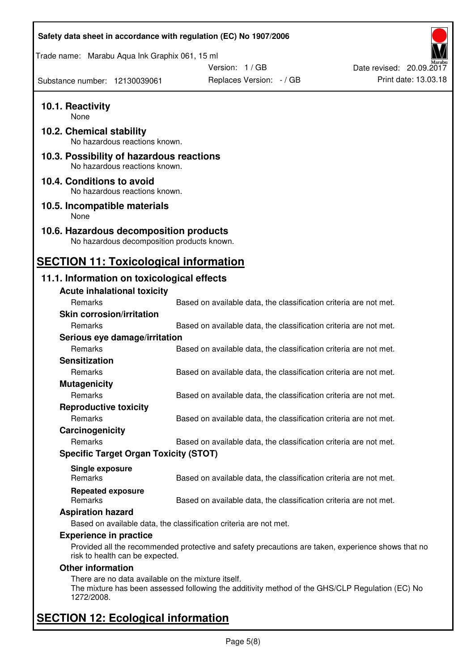| Safety data sheet in accordance with regulation (EC) No 1907/2006                    |                                                                                                    |                          |
|--------------------------------------------------------------------------------------|----------------------------------------------------------------------------------------------------|--------------------------|
| Trade name: Marabu Aqua Ink Graphix 061, 15 ml                                       |                                                                                                    |                          |
|                                                                                      | Version: 1 / GB                                                                                    | Date revised: 20.09.2017 |
| Substance number: 12130039061                                                        | Replaces Version: - / GB                                                                           | Print date: 13.03.18     |
| 10.1. Reactivity<br>None                                                             |                                                                                                    |                          |
| 10.2. Chemical stability<br>No hazardous reactions known.                            |                                                                                                    |                          |
| 10.3. Possibility of hazardous reactions<br>No hazardous reactions known.            |                                                                                                    |                          |
| 10.4. Conditions to avoid<br>No hazardous reactions known.                           |                                                                                                    |                          |
| 10.5. Incompatible materials<br>None                                                 |                                                                                                    |                          |
| 10.6. Hazardous decomposition products<br>No hazardous decomposition products known. |                                                                                                    |                          |
| <b>SECTION 11: Toxicological information</b>                                         |                                                                                                    |                          |
| 11.1. Information on toxicological effects<br><b>Acute inhalational toxicity</b>     |                                                                                                    |                          |
| Remarks                                                                              | Based on available data, the classification criteria are not met.                                  |                          |
| <b>Skin corrosion/irritation</b>                                                     |                                                                                                    |                          |
| Remarks                                                                              | Based on available data, the classification criteria are not met.                                  |                          |
| Serious eye damage/irritation                                                        |                                                                                                    |                          |
| Remarks                                                                              | Based on available data, the classification criteria are not met.                                  |                          |
| <b>Sensitization</b>                                                                 |                                                                                                    |                          |
| Remarks                                                                              | Based on available data, the classification criteria are not met.                                  |                          |
| <b>Mutagenicity</b><br>Remarks                                                       | Based on available data, the classification criteria are not met.                                  |                          |
| <b>Reproductive toxicity</b>                                                         |                                                                                                    |                          |
| Remarks                                                                              | Based on available data, the classification criteria are not met.                                  |                          |
| Carcinogenicity                                                                      |                                                                                                    |                          |
| Remarks                                                                              | Based on available data, the classification criteria are not met.                                  |                          |
| <b>Specific Target Organ Toxicity (STOT)</b>                                         |                                                                                                    |                          |
|                                                                                      |                                                                                                    |                          |
| Single exposure<br>Remarks                                                           | Based on available data, the classification criteria are not met.                                  |                          |
| <b>Repeated exposure</b><br>Remarks                                                  | Based on available data, the classification criteria are not met.                                  |                          |
| <b>Aspiration hazard</b>                                                             |                                                                                                    |                          |
|                                                                                      | Based on available data, the classification criteria are not met.                                  |                          |
| <b>Experience in practice</b>                                                        |                                                                                                    |                          |
| risk to health can be expected.                                                      | Provided all the recommended protective and safety precautions are taken, experience shows that no |                          |
| <b>Other information</b>                                                             |                                                                                                    |                          |
| There are no data available on the mixture itself.<br>1272/2008.                     | The mixture has been assessed following the additivity method of the GHS/CLP Regulation (EC) No    |                          |
| <b>SECTION 12: Ecological information</b>                                            |                                                                                                    |                          |

# Page 5(8)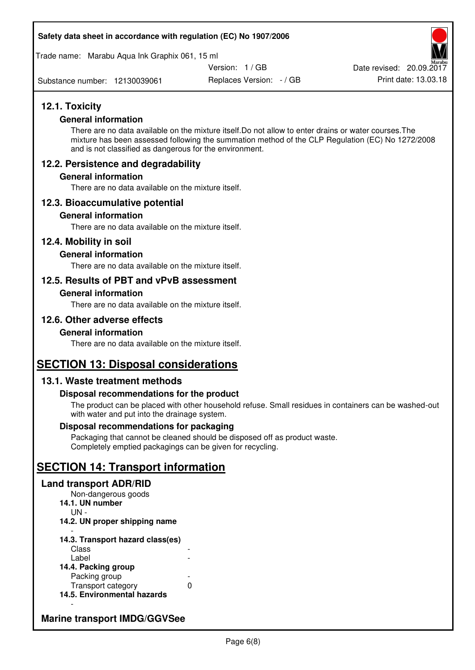#### **Safety data sheet in accordance with regulation (EC) No 1907/2006**

Trade name: Marabu Aqua Ink Graphix 061, 15 ml

Version: 1 / GB

Substance number: 12130039061

Replaces Version: - / GB Print date: 13.03.18 Date revised: 20.09.2017

# **12.1. Toxicity**

#### **General information**

There are no data available on the mixture itself.Do not allow to enter drains or water courses.The mixture has been assessed following the summation method of the CLP Regulation (EC) No 1272/2008 and is not classified as dangerous for the environment.

# **12.2. Persistence and degradability**

#### **General information**

There are no data available on the mixture itself.

# **12.3. Bioaccumulative potential**

#### **General information**

There are no data available on the mixture itself.

#### **12.4. Mobility in soil**

#### **General information**

There are no data available on the mixture itself.

# **12.5. Results of PBT and vPvB assessment**

#### **General information**

There are no data available on the mixture itself.

# **12.6. Other adverse effects**

#### **General information**

There are no data available on the mixture itself.

# **SECTION 13: Disposal considerations**

# **13.1. Waste treatment methods**

#### **Disposal recommendations for the product**

The product can be placed with other household refuse. Small residues in containers can be washed-out with water and put into the drainage system.

#### **Disposal recommendations for packaging**

Packaging that cannot be cleaned should be disposed off as product waste. Completely emptied packagings can be given for recycling.

# **SECTION 14: Transport information**

#### **Land transport ADR/RID**

Non-dangerous goods **14.1. UN number**  UN - **14.2. UN proper shipping name**  -

#### **14.3. Transport hazard class(es) Class** Label

| 14.4. Packing group         |   |
|-----------------------------|---|
| Packing group               |   |
| Transport category          | O |
| 14.5. Environmental hazards |   |

# **Marine transport IMDG/GGVSee**

-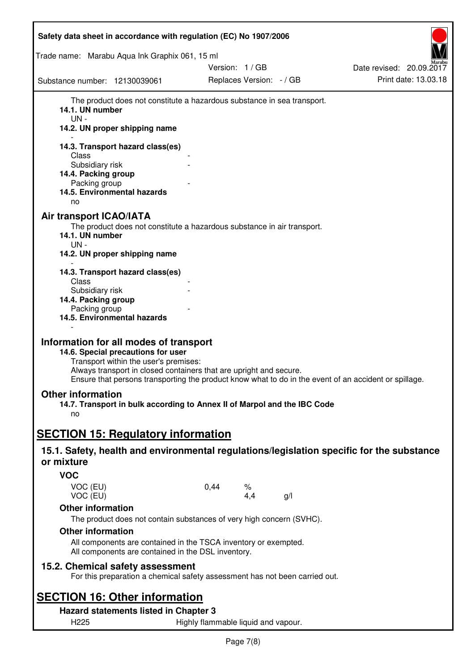| Safety data sheet in accordance with regulation (EC) No 1907/2006                                                                                                                                                                                                                                    |      |                          |     |                          |
|------------------------------------------------------------------------------------------------------------------------------------------------------------------------------------------------------------------------------------------------------------------------------------------------------|------|--------------------------|-----|--------------------------|
| Trade name: Marabu Aqua Ink Graphix 061, 15 ml                                                                                                                                                                                                                                                       |      |                          |     |                          |
|                                                                                                                                                                                                                                                                                                      |      | Version: 1 / GB          |     | Date revised: 20.09.2017 |
| Substance number: 12130039061                                                                                                                                                                                                                                                                        |      | Replaces Version: - / GB |     | Print date: 13.03.18     |
| The product does not constitute a hazardous substance in sea transport.<br>14.1. UN number<br>UN-<br>14.2. UN proper shipping name                                                                                                                                                                   |      |                          |     |                          |
| 14.3. Transport hazard class(es)<br>Class<br>Subsidiary risk<br>14.4. Packing group<br>Packing group<br>14.5. Environmental hazards<br>no                                                                                                                                                            |      |                          |     |                          |
| <b>Air transport ICAO/IATA</b><br>The product does not constitute a hazardous substance in air transport.<br>14.1. UN number<br>UN -<br>14.2. UN proper shipping name                                                                                                                                |      |                          |     |                          |
| 14.3. Transport hazard class(es)<br>Class<br>Subsidiary risk<br>14.4. Packing group<br>Packing group<br>14.5. Environmental hazards                                                                                                                                                                  |      |                          |     |                          |
| Information for all modes of transport<br>14.6. Special precautions for user<br>Transport within the user's premises:<br>Always transport in closed containers that are upright and secure.<br>Ensure that persons transporting the product know what to do in the event of an accident or spillage. |      |                          |     |                          |
| <b>Other information</b><br>14.7. Transport in bulk according to Annex II of Marpol and the IBC Code<br>no                                                                                                                                                                                           |      |                          |     |                          |
| <b>SECTION 15: Regulatory information</b>                                                                                                                                                                                                                                                            |      |                          |     |                          |
| 15.1. Safety, health and environmental regulations/legislation specific for the substance<br>or mixture                                                                                                                                                                                              |      |                          |     |                          |
| <b>VOC</b>                                                                                                                                                                                                                                                                                           |      |                          |     |                          |
| VOC (EU)<br>VOC (EU)                                                                                                                                                                                                                                                                                 | 0,44 | %<br>4,4                 | g/l |                          |
| <b>Other information</b>                                                                                                                                                                                                                                                                             |      |                          |     |                          |
| The product does not contain substances of very high concern (SVHC).                                                                                                                                                                                                                                 |      |                          |     |                          |
| <b>Other information</b>                                                                                                                                                                                                                                                                             |      |                          |     |                          |
| All components are contained in the TSCA inventory or exempted.<br>All components are contained in the DSL inventory.                                                                                                                                                                                |      |                          |     |                          |
| 15.2. Chemical safety assessment<br>For this preparation a chemical safety assessment has not been carried out.                                                                                                                                                                                      |      |                          |     |                          |
| <b>SECTION 16: Other information</b>                                                                                                                                                                                                                                                                 |      |                          |     |                          |
| Hazard statements listed in Chapter 3                                                                                                                                                                                                                                                                |      |                          |     |                          |

Page 7(8)

H225 Highly flammable liquid and vapour.